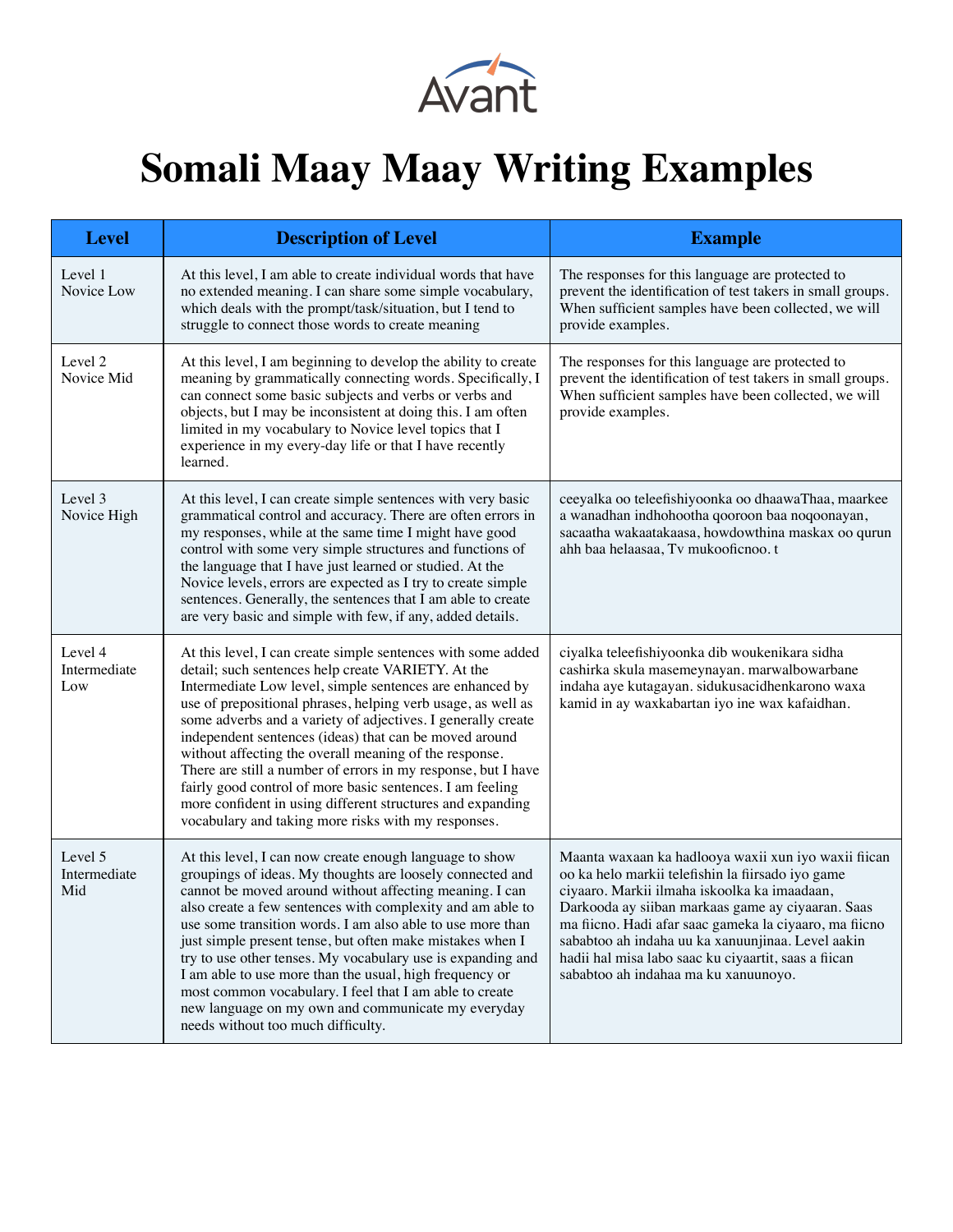

## **Somali Maay Maay Writing Examples**

| <b>Level</b>                   | <b>Description of Level</b>                                                                                                                                                                                                                                                                                                                                                                                                                                                                                                                                                                                                                                                           | <b>Example</b>                                                                                                                                                                                                                                                                                                                                                                                                                |
|--------------------------------|---------------------------------------------------------------------------------------------------------------------------------------------------------------------------------------------------------------------------------------------------------------------------------------------------------------------------------------------------------------------------------------------------------------------------------------------------------------------------------------------------------------------------------------------------------------------------------------------------------------------------------------------------------------------------------------|-------------------------------------------------------------------------------------------------------------------------------------------------------------------------------------------------------------------------------------------------------------------------------------------------------------------------------------------------------------------------------------------------------------------------------|
| Level 1<br>Novice Low          | At this level, I am able to create individual words that have<br>no extended meaning. I can share some simple vocabulary,<br>which deals with the prompt/task/situation, but I tend to<br>struggle to connect those words to create meaning                                                                                                                                                                                                                                                                                                                                                                                                                                           | The responses for this language are protected to<br>prevent the identification of test takers in small groups.<br>When sufficient samples have been collected, we will<br>provide examples.                                                                                                                                                                                                                                   |
| Level 2<br>Novice Mid          | At this level, I am beginning to develop the ability to create<br>meaning by grammatically connecting words. Specifically, I<br>can connect some basic subjects and verbs or verbs and<br>objects, but I may be inconsistent at doing this. I am often<br>limited in my vocabulary to Novice level topics that I<br>experience in my every-day life or that I have recently<br>learned.                                                                                                                                                                                                                                                                                               | The responses for this language are protected to<br>prevent the identification of test takers in small groups.<br>When sufficient samples have been collected, we will<br>provide examples.                                                                                                                                                                                                                                   |
| Level 3<br>Novice High         | At this level, I can create simple sentences with very basic<br>grammatical control and accuracy. There are often errors in<br>my responses, while at the same time I might have good<br>control with some very simple structures and functions of<br>the language that I have just learned or studied. At the<br>Novice levels, errors are expected as I try to create simple<br>sentences. Generally, the sentences that I am able to create<br>are very basic and simple with few, if any, added details.                                                                                                                                                                          | ceeyalka oo teleefishiyoonka oo dhaawaThaa, maarkee<br>a wanadhan indhohootha qooroon baa noqoonayan,<br>sacaatha wakaatakaasa, howdowthina maskax oo qurun<br>ahh baa helaasaa, Tv mukooficnoo.t                                                                                                                                                                                                                             |
| Level 4<br>Intermediate<br>Low | At this level, I can create simple sentences with some added<br>detail; such sentences help create VARIETY. At the<br>Intermediate Low level, simple sentences are enhanced by<br>use of prepositional phrases, helping verb usage, as well as<br>some adverbs and a variety of adjectives. I generally create<br>independent sentences (ideas) that can be moved around<br>without affecting the overall meaning of the response.<br>There are still a number of errors in my response, but I have<br>fairly good control of more basic sentences. I am feeling<br>more confident in using different structures and expanding<br>vocabulary and taking more risks with my responses. | ciyalka teleefishiyoonka dib woukenikara sidha<br>cashirka skula masemeynayan. marwalbowarbane<br>indaha aye kutagayan. sidukusacidhenkarono waxa<br>kamid in ay waxkabartan iyo ine wax kafaidhan.                                                                                                                                                                                                                           |
| Level 5<br>Intermediate<br>Mid | At this level, I can now create enough language to show<br>groupings of ideas. My thoughts are loosely connected and<br>cannot be moved around without affecting meaning. I can<br>also create a few sentences with complexity and am able to<br>use some transition words. I am also able to use more than<br>just simple present tense, but often make mistakes when I<br>try to use other tenses. My vocabulary use is expanding and<br>I am able to use more than the usual, high frequency or<br>most common vocabulary. I feel that I am able to create<br>new language on my own and communicate my everyday<br>needs without too much difficulty.                             | Maanta waxaan ka hadlooya waxii xun iyo waxii fiican<br>oo ka helo markii telefishin la fiirsado iyo game<br>ciyaaro. Markii ilmaha iskoolka ka imaadaan,<br>Darkooda ay siiban markaas game ay ciyaaran. Saas<br>ma fiicno. Hadi afar saac gameka la ciyaaro, ma fiicno<br>sababtoo ah indaha uu ka xanuunjinaa. Level aakin<br>hadii hal misa labo saac ku ciyaartit, saas a fiican<br>sababtoo ah indahaa ma ku xanuunoyo. |